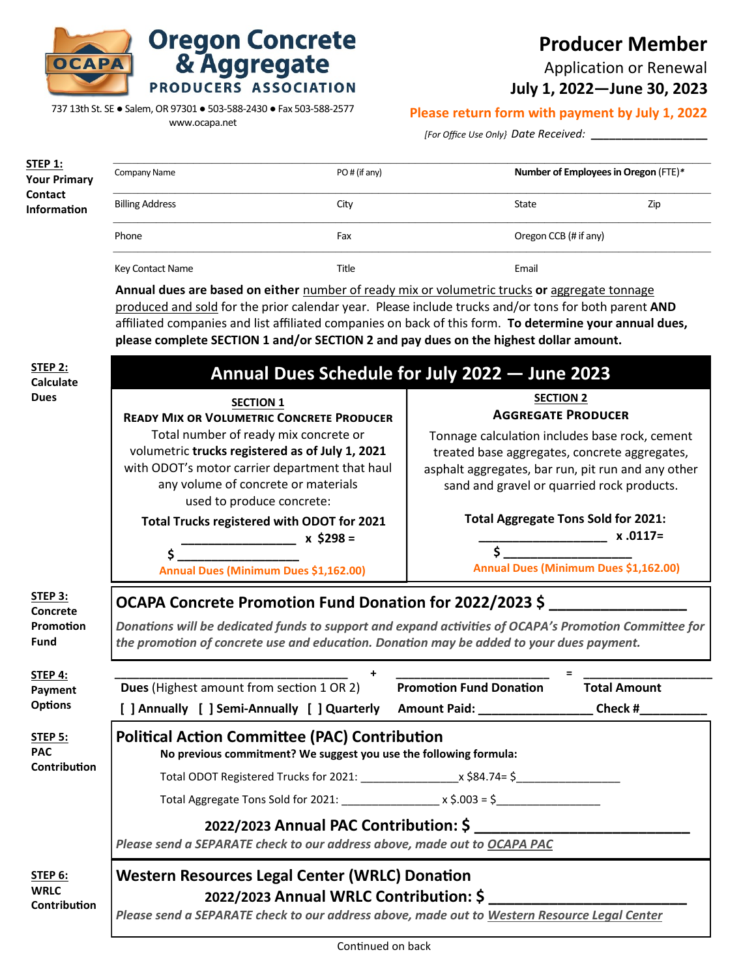

## **Producer Member**

Application or Renewal

**July 1, 2022—June 30, 2023**

737 13th St. SE ● Salem, OR 97301 ● 503-588-2430 ● Fax 503-588-2577

**Oregon Concrete<br>& Aggregate** 

PRODUCERS ASSOCIATION

www.ocapa.net

## **Please return form with payment by July 1, 2022**

*[For Office Use Only} Date Received:* **\_\_\_\_\_\_\_\_\_\_\_\_\_\_\_\_\_\_\_** 

| <u>STEP 1:</u><br><b>Your Primary</b><br>Contact<br>Information | Company Name                                                                                                                                                                                                                                                                                                                                                                                              | PO# (if any) |       | Number of Employees in Oregon (FTE)* |  |  |
|-----------------------------------------------------------------|-----------------------------------------------------------------------------------------------------------------------------------------------------------------------------------------------------------------------------------------------------------------------------------------------------------------------------------------------------------------------------------------------------------|--------------|-------|--------------------------------------|--|--|
|                                                                 | <b>Billing Address</b>                                                                                                                                                                                                                                                                                                                                                                                    | City         | State | Zip                                  |  |  |
|                                                                 | Phone                                                                                                                                                                                                                                                                                                                                                                                                     | Fax          |       | Oregon CCB (# if any)                |  |  |
|                                                                 | <b>Key Contact Name</b>                                                                                                                                                                                                                                                                                                                                                                                   | Title        | Email |                                      |  |  |
|                                                                 | Annual dues are based on either number of ready mix or volumetric trucks or aggregate tonnage<br>produced and sold for the prior calendar year. Please include trucks and/or tons for both parent AND<br>affiliated companies and list affiliated companies on back of this form. To determine your annual dues,<br>please complete SECTION 1 and/or SECTION 2 and pay dues on the highest dollar amount. |              |       |                                      |  |  |

| STEP 2:<br>Calculate                          | Annual Dues Schedule for July 2022 - June 2023                                                                                                                                                                                                                                                                                                                                                            |                                                                                                                                                                                                                                                                                                    |                                                    |  |  |
|-----------------------------------------------|-----------------------------------------------------------------------------------------------------------------------------------------------------------------------------------------------------------------------------------------------------------------------------------------------------------------------------------------------------------------------------------------------------------|----------------------------------------------------------------------------------------------------------------------------------------------------------------------------------------------------------------------------------------------------------------------------------------------------|----------------------------------------------------|--|--|
| <b>Dues</b>                                   | <b>SECTION 1</b><br><b>READY MIX OR VOLUMETRIC CONCRETE PRODUCER</b><br>Total number of ready mix concrete or<br>volumetric trucks registered as of July 1, 2021<br>with ODOT's motor carrier department that haul<br>any volume of concrete or materials<br>used to produce concrete:<br>Total Trucks registered with ODOT for 2021<br>______________ x \$298 =<br>Annual Dues (Minimum Dues \$1,162.00) | <b>SECTION 2</b><br><b>AGGREGATE PRODUCER</b><br>Tonnage calculation includes base rock, cement<br>treated base aggregates, concrete aggregates,<br>asphalt aggregates, bar run, pit run and any other<br>sand and gravel or quarried rock products.<br><b>Total Aggregate Tons Sold for 2021:</b> | $x.0117=$<br>Annual Dues (Minimum Dues \$1,162.00) |  |  |
| STEP 3:<br>Concrete<br>Promotion<br>Fund      | OCAPA Concrete Promotion Fund Donation for 2022/2023 \$<br>Donations will be dedicated funds to support and expand activities of OCAPA's Promotion Committee for<br>the promotion of concrete use and education. Donation may be added to your dues payment.                                                                                                                                              |                                                                                                                                                                                                                                                                                                    |                                                    |  |  |
| STEP 4:<br>Payment<br><b>Options</b>          | Dues (Highest amount from section 1 OR 2) Promotion Fund Donation<br>[ ] Annually [ ] Semi-Annually [ ] Quarterly Amount Paid: __________________Check #________                                                                                                                                                                                                                                          |                                                                                                                                                                                                                                                                                                    | <b>Total Amount</b>                                |  |  |
| <b>STEP 5:</b><br><b>PAC</b>                  | <b>Political Action Committee (PAC) Contribution</b><br>No previous commitment? We suggest you use the following formula:                                                                                                                                                                                                                                                                                 |                                                                                                                                                                                                                                                                                                    |                                                    |  |  |
| <b>Contribution</b>                           |                                                                                                                                                                                                                                                                                                                                                                                                           |                                                                                                                                                                                                                                                                                                    |                                                    |  |  |
|                                               | Total Aggregate Tons Sold for 2021: $\angle x$ \$.003 = \$                                                                                                                                                                                                                                                                                                                                                |                                                                                                                                                                                                                                                                                                    |                                                    |  |  |
|                                               | 2022/2023 Annual PAC Contribution: \$<br>Please send a SEPARATE check to our address above, made out to OCAPA PAC                                                                                                                                                                                                                                                                                         |                                                                                                                                                                                                                                                                                                    |                                                    |  |  |
| <b>STEP 6:</b><br><b>WRLC</b><br>Contribution | <b>Western Resources Legal Center (WRLC) Donation</b><br>2022/2023 Annual WRLC Contribution: \$<br>Please send a SEPARATE check to our address above, made out to Western Resource Legal Center                                                                                                                                                                                                           |                                                                                                                                                                                                                                                                                                    |                                                    |  |  |